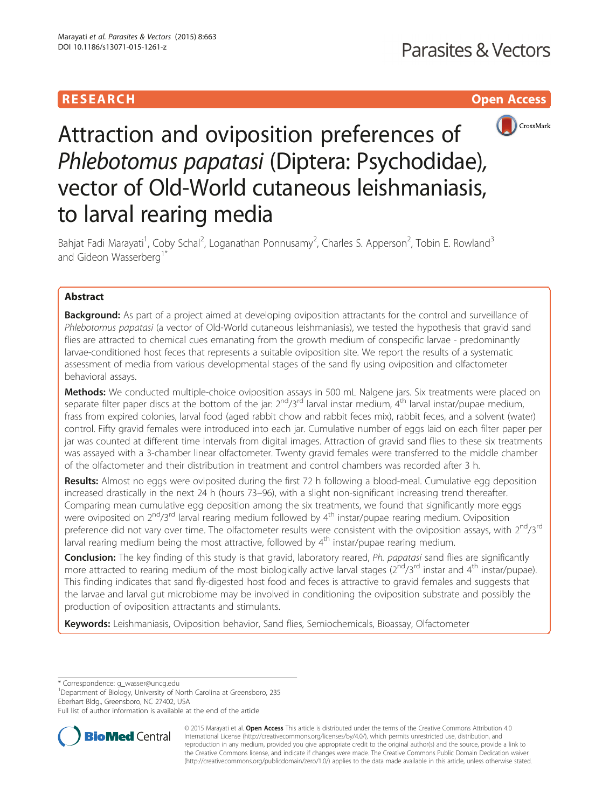# RESEARCH **RESEARCH CHOOSE ACCESS**



# Attraction and oviposition preferences of Phlebotomus papatasi (Diptera: Psychodidae), vector of Old-World cutaneous leishmaniasis, to larval rearing media

Bahjat Fadi Marayati<sup>1</sup>, Coby Schal<sup>2</sup>, Loganathan Ponnusamy<sup>2</sup>, Charles S. Apperson<sup>2</sup>, Tobin E. Rowland<sup>3</sup> and Gideon Wasserberg<sup>1\*</sup>

# Abstract

**Background:** As part of a project aimed at developing oviposition attractants for the control and surveillance of Phlebotomus papatasi (a vector of Old-World cutaneous leishmaniasis), we tested the hypothesis that gravid sand flies are attracted to chemical cues emanating from the growth medium of conspecific larvae - predominantly larvae-conditioned host feces that represents a suitable oviposition site. We report the results of a systematic assessment of media from various developmental stages of the sand fly using oviposition and olfactometer behavioral assays.

Methods: We conducted multiple-choice oviposition assays in 500 mL Nalgene jars. Six treatments were placed on separate filter paper discs at the bottom of the jar:  $2^{nd}/3^{rd}$  larval instar medium,  $4^{th}$  larval instar/pupae medium, frass from expired colonies, larval food (aged rabbit chow and rabbit feces mix), rabbit feces, and a solvent (water) control. Fifty gravid females were introduced into each jar. Cumulative number of eggs laid on each filter paper per jar was counted at different time intervals from digital images. Attraction of gravid sand flies to these six treatments was assayed with a 3-chamber linear olfactometer. Twenty gravid females were transferred to the middle chamber of the olfactometer and their distribution in treatment and control chambers was recorded after 3 h.

Results: Almost no eggs were oviposited during the first 72 h following a blood-meal. Cumulative egg deposition increased drastically in the next 24 h (hours 73–96), with a slight non-significant increasing trend thereafter. Comparing mean cumulative egg deposition among the six treatments, we found that significantly more eggs were oviposited on  $2^{nd}/3^{rd}$  larval rearing medium followed by  $4^{th}$  instar/pupae rearing medium. Oviposition preference did not vary over time. The olfactometer results were consistent with the oviposition assays, with 2<sup>nd</sup>/3<sup>rd</sup> larval rearing medium being the most attractive, followed by  $4<sup>th</sup>$  instar/pupae rearing medium.

Conclusion: The key finding of this study is that gravid, laboratory reared, Ph. papatasi sand flies are significantly more attracted to rearing medium of the most biologically active larval stages ( $2^{nd}/3^{rd}$  instar and  $4^{th}$  instar/pupae). This finding indicates that sand fly-digested host food and feces is attractive to gravid females and suggests that the larvae and larval gut microbiome may be involved in conditioning the oviposition substrate and possibly the production of oviposition attractants and stimulants.

Keywords: Leishmaniasis, Oviposition behavior, Sand flies, Semiochemicals, Bioassay, Olfactometer

\* Correspondence: [g\\_wasser@uncg.edu](mailto:g_wasser@uncg.edu) <sup>1</sup>

<sup>1</sup>Department of Biology, University of North Carolina at Greensboro, 235 Eberhart Bldg., Greensboro, NC 27402, USA

Full list of author information is available at the end of the article



© 2015 Marayati et al. **Open Access** This article is distributed under the terms of the Creative Commons Attribution 4.0 International License [\(http://creativecommons.org/licenses/by/4.0/](http://creativecommons.org/licenses/by/4.0/)), which permits unrestricted use, distribution, and reproduction in any medium, provided you give appropriate credit to the original author(s) and the source, provide a link to the Creative Commons license, and indicate if changes were made. The Creative Commons Public Domain Dedication waiver [\(http://creativecommons.org/publicdomain/zero/1.0/](http://creativecommons.org/publicdomain/zero/1.0/)) applies to the data made available in this article, unless otherwise stated.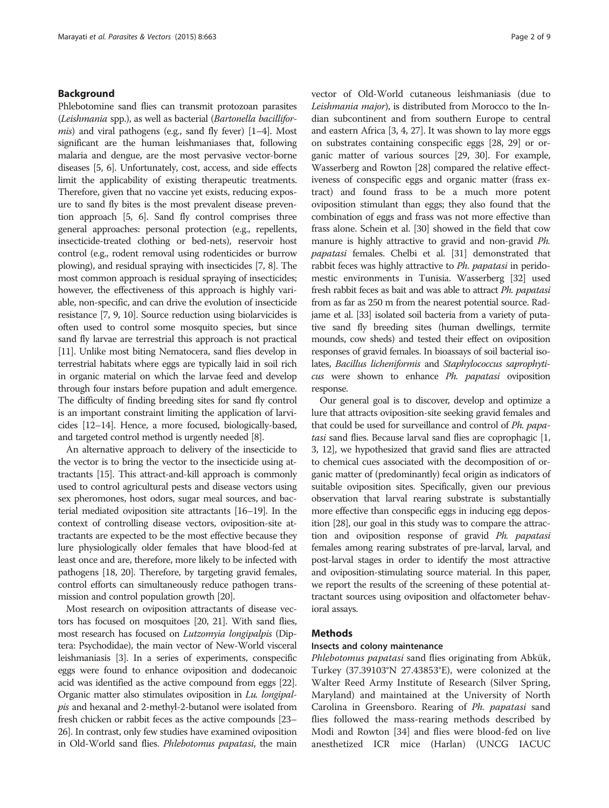# Background

Phlebotomine sand flies can transmit protozoan parasites (Leishmania spp.), as well as bacterial (Bartonella bacillifor*mis*) and viral pathogens (e.g., sand fly fever)  $[1-4]$  $[1-4]$  $[1-4]$  $[1-4]$ . Most significant are the human leishmaniases that, following malaria and dengue, are the most pervasive vector-borne diseases [\[5, 6](#page-7-0)]. Unfortunately, cost, access, and side effects limit the applicability of existing therapeutic treatments. Therefore, given that no vaccine yet exists, reducing exposure to sand fly bites is the most prevalent disease prevention approach [\[5, 6](#page-7-0)]. Sand fly control comprises three general approaches: personal protection (e.g., repellents, insecticide-treated clothing or bed-nets), reservoir host control (e.g., rodent removal using rodenticides or burrow plowing), and residual spraying with insecticides [[7](#page-7-0), [8\]](#page-7-0). The most common approach is residual spraying of insecticides; however, the effectiveness of this approach is highly variable, non-specific, and can drive the evolution of insecticide resistance [\[7, 9](#page-7-0), [10](#page-7-0)]. Source reduction using biolarvicides is often used to control some mosquito species, but since sand fly larvae are terrestrial this approach is not practical [[11](#page-7-0)]. Unlike most biting Nematocera, sand flies develop in terrestrial habitats where eggs are typically laid in soil rich in organic material on which the larvae feed and develop through four instars before pupation and adult emergence. The difficulty of finding breeding sites for sand fly control is an important constraint limiting the application of larvicides [[12](#page-7-0)–[14](#page-7-0)]. Hence, a more focused, biologically-based, and targeted control method is urgently needed [[8](#page-7-0)].

An alternative approach to delivery of the insecticide to the vector is to bring the vector to the insecticide using attractants [[15\]](#page-7-0). This attract-and-kill approach is commonly used to control agricultural pests and disease vectors using sex pheromones, host odors, sugar meal sources, and bacterial mediated oviposition site attractants [\[16](#page-7-0)–[19\]](#page-7-0). In the context of controlling disease vectors, oviposition-site attractants are expected to be the most effective because they lure physiologically older females that have blood-fed at least once and are, therefore, more likely to be infected with pathogens [\[18, 20\]](#page-7-0). Therefore, by targeting gravid females, control efforts can simultaneously reduce pathogen transmission and control population growth [\[20\]](#page-7-0).

Most research on oviposition attractants of disease vectors has focused on mosquitoes [[20](#page-7-0), [21\]](#page-7-0). With sand flies, most research has focused on Lutzomyia longipalpis (Diptera: Psychodidae), the main vector of New-World visceral leishmaniasis [\[3\]](#page-7-0). In a series of experiments, conspecific eggs were found to enhance oviposition and dodecanoic acid was identified as the active compound from eggs [\[22](#page-7-0)]. Organic matter also stimulates oviposition in Lu. longipalpis and hexanal and 2-methyl-2-butanol were isolated from fresh chicken or rabbit feces as the active compounds [\[23](#page-7-0)– [26](#page-7-0)]. In contrast, only few studies have examined oviposition in Old-World sand flies. Phlebotomus papatasi, the main vector of Old-World cutaneous leishmaniasis (due to Leishmania major), is distributed from Morocco to the Indian subcontinent and from southern Europe to central and eastern Africa [[3](#page-7-0), [4, 27](#page-7-0)]. It was shown to lay more eggs on substrates containing conspecific eggs [\[28, 29](#page-7-0)] or organic matter of various sources [[29](#page-7-0), [30](#page-7-0)]. For example, Wasserberg and Rowton [[28](#page-7-0)] compared the relative effectiveness of conspecific eggs and organic matter (frass extract) and found frass to be a much more potent oviposition stimulant than eggs; they also found that the combination of eggs and frass was not more effective than frass alone. Schein et al. [[30](#page-7-0)] showed in the field that cow manure is highly attractive to gravid and non-gravid Ph. papatasi females. Chelbi et al. [\[31\]](#page-7-0) demonstrated that rabbit feces was highly attractive to Ph. papatasi in peridomestic environments in Tunisia. Wasserberg [\[32\]](#page-7-0) used fresh rabbit feces as bait and was able to attract Ph. papatasi from as far as 250 m from the nearest potential source. Radjame et al. [\[33\]](#page-7-0) isolated soil bacteria from a variety of putative sand fly breeding sites (human dwellings, termite mounds, cow sheds) and tested their effect on oviposition responses of gravid females. In bioassays of soil bacterial isolates, Bacillus licheniformis and Staphylococcus saprophyticus were shown to enhance Ph. papatasi oviposition response.

Our general goal is to discover, develop and optimize a lure that attracts oviposition-site seeking gravid females and that could be used for surveillance and control of Ph. papatasi sand flies. Because larval sand flies are coprophagic [[1](#page-7-0), [3](#page-7-0), [12](#page-7-0)], we hypothesized that gravid sand flies are attracted to chemical cues associated with the decomposition of organic matter of (predominantly) fecal origin as indicators of suitable oviposition sites. Specifically, given our previous observation that larval rearing substrate is substantially more effective than conspecific eggs in inducing egg deposition [\[28\]](#page-7-0), our goal in this study was to compare the attraction and oviposition response of gravid Ph. papatasi females among rearing substrates of pre-larval, larval, and post-larval stages in order to identify the most attractive and oviposition-stimulating source material. In this paper, we report the results of the screening of these potential attractant sources using oviposition and olfactometer behavioral assays.

#### Methods

#### Insects and colony maintenance

Phlebotomus papatasi sand flies originating from Abkük, Turkey (37.39103°N 27.43853°E), were colonized at the Walter Reed Army Institute of Research (Silver Spring, Maryland) and maintained at the University of North Carolina in Greensboro. Rearing of Ph. papatasi sand flies followed the mass-rearing methods described by Modi and Rowton [\[34](#page-7-0)] and flies were blood-fed on live anesthetized ICR mice (Harlan) (UNCG IACUC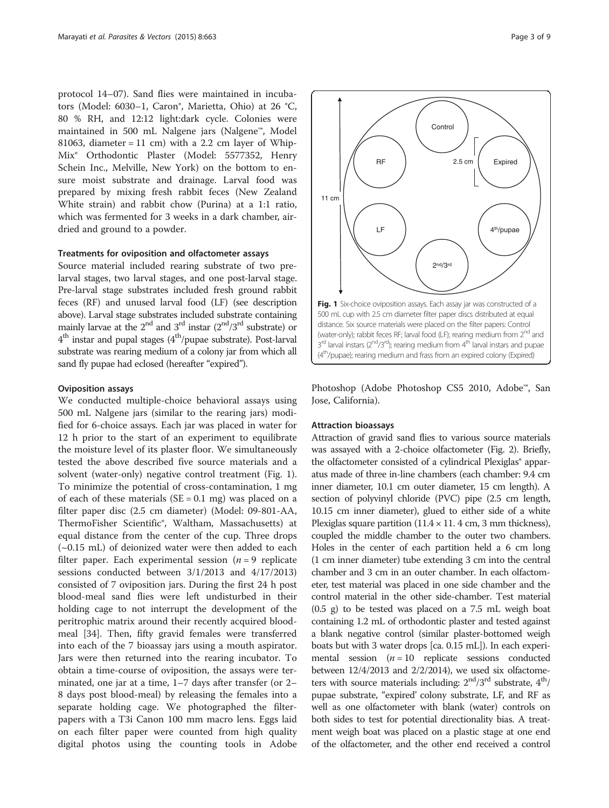protocol 14–07). Sand flies were maintained in incubators (Model: 6030-1, Caron®, Marietta, Ohio) at 26 °C, 80 % RH, and 12:12 light:dark cycle. Colonies were maintained in 500 mL Nalgene jars (Nalgene™, Model 81063, diameter = 11 cm) with a 2.2 cm layer of Whip-Mix® Orthodontic Plaster (Model: 5577352, Henry Schein Inc., Melville, New York) on the bottom to ensure moist substrate and drainage. Larval food was prepared by mixing fresh rabbit feces (New Zealand White strain) and rabbit chow (Purina) at a 1:1 ratio, which was fermented for 3 weeks in a dark chamber, airdried and ground to a powder.

#### Treatments for oviposition and olfactometer assays

Source material included rearing substrate of two prelarval stages, two larval stages, and one post-larval stage. Pre-larval stage substrates included fresh ground rabbit feces (RF) and unused larval food (LF) (see description above). Larval stage substrates included substrate containing mainly larvae at the  $2<sup>nd</sup>$  and  $3<sup>rd</sup>$  instar  $(2<sup>nd</sup>/3<sup>rd</sup>$  substrate) or  $4<sup>th</sup>$  instar and pupal stages  $(4<sup>th</sup>/p$ upae substrate). Post-larval substrate was rearing medium of a colony jar from which all sand fly pupae had eclosed (hereafter "expired").

#### Oviposition assays

We conducted multiple-choice behavioral assays using 500 mL Nalgene jars (similar to the rearing jars) modified for 6-choice assays. Each jar was placed in water for 12 h prior to the start of an experiment to equilibrate the moisture level of its plaster floor. We simultaneously tested the above described five source materials and a solvent (water-only) negative control treatment (Fig. 1). To minimize the potential of cross-contamination, 1 mg of each of these materials  $(SE = 0.1 \text{ mg})$  was placed on a filter paper disc (2.5 cm diameter) (Model: 09-801-AA, ThermoFisher Scientific®, Waltham, Massachusetts) at equal distance from the center of the cup. Three drops (~0.15 mL) of deionized water were then added to each filter paper. Each experimental session  $(n = 9)$  replicate sessions conducted between 3/1/2013 and 4/17/2013) consisted of 7 oviposition jars. During the first 24 h post blood-meal sand flies were left undisturbed in their holding cage to not interrupt the development of the peritrophic matrix around their recently acquired bloodmeal [[34\]](#page-7-0). Then, fifty gravid females were transferred into each of the 7 bioassay jars using a mouth aspirator. Jars were then returned into the rearing incubator. To obtain a time-course of oviposition, the assays were terminated, one jar at a time, 1–7 days after transfer (or 2– 8 days post blood-meal) by releasing the females into a separate holding cage. We photographed the filterpapers with a T3i Canon 100 mm macro lens. Eggs laid on each filter paper were counted from high quality digital photos using the counting tools in Adobe

Photoshop (Adobe Photoshop CS5 2010, Adobe™, San Jose, California).

#### Attraction bioassays

Attraction of gravid sand flies to various source materials was assayed with a 2-choice olfactometer (Fig. [2](#page-3-0)). Briefly, the olfactometer consisted of a cylindrical Plexiglas<sup>®</sup> apparatus made of three in-line chambers (each chamber: 9.4 cm inner diameter, 10.1 cm outer diameter, 15 cm length). A section of polyvinyl chloride (PVC) pipe (2.5 cm length, 10.15 cm inner diameter), glued to either side of a white Plexiglas square partition  $(11.4 \times 11.4 \text{ cm}, 3 \text{ mm thickness})$ , coupled the middle chamber to the outer two chambers. Holes in the center of each partition held a 6 cm long (1 cm inner diameter) tube extending 3 cm into the central chamber and 3 cm in an outer chamber. In each olfactometer, test material was placed in one side chamber and the control material in the other side-chamber. Test material (0.5 g) to be tested was placed on a 7.5 mL weigh boat containing 1.2 mL of orthodontic plaster and tested against a blank negative control (similar plaster-bottomed weigh boats but with 3 water drops [ca. 0.15 mL]). In each experimental session  $(n = 10$  replicate sessions conducted between 12/4/2013 and 2/2/2014), we used six olfactometers with source materials including:  $2<sup>nd</sup>/3<sup>rd</sup>$  substrate,  $4<sup>th</sup>/$ pupae substrate, "expired' colony substrate, LF, and RF as well as one olfactometer with blank (water) controls on both sides to test for potential directionality bias. A treatment weigh boat was placed on a plastic stage at one end of the olfactometer, and the other end received a control

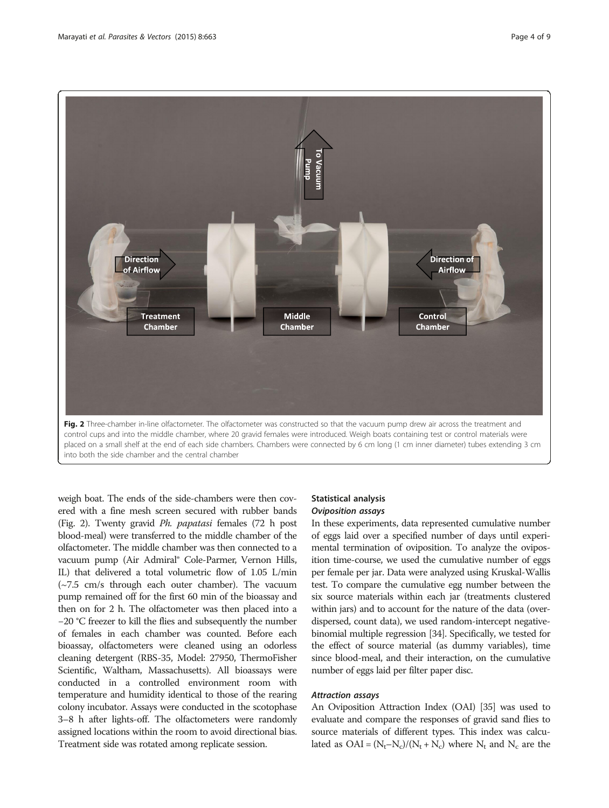<span id="page-3-0"></span>

into both the side chamber and the central chamber

weigh boat. The ends of the side-chambers were then covered with a fine mesh screen secured with rubber bands (Fig. 2). Twenty gravid Ph. papatasi females (72 h post blood-meal) were transferred to the middle chamber of the olfactometer. The middle chamber was then connected to a vacuum pump (Air Admiral® Cole-Parmer, Vernon Hills, IL) that delivered a total volumetric flow of 1.05 L/min (~7.5 cm/s through each outer chamber). The vacuum pump remained off for the first 60 min of the bioassay and then on for 2 h. The olfactometer was then placed into a −20 °C freezer to kill the flies and subsequently the number of females in each chamber was counted. Before each bioassay, olfactometers were cleaned using an odorless cleaning detergent (RBS-35, Model: 27950, ThermoFisher Scientific, Waltham, Massachusetts). All bioassays were conducted in a controlled environment room with temperature and humidity identical to those of the rearing colony incubator. Assays were conducted in the scotophase 3–8 h after lights-off. The olfactometers were randomly assigned locations within the room to avoid directional bias. Treatment side was rotated among replicate session.

# Statistical analysis Oviposition assays

In these experiments, data represented cumulative number of eggs laid over a specified number of days until experimental termination of oviposition. To analyze the oviposition time-course, we used the cumulative number of eggs per female per jar. Data were analyzed using Kruskal-Wallis test. To compare the cumulative egg number between the six source materials within each jar (treatments clustered within jars) and to account for the nature of the data (overdispersed, count data), we used random-intercept negativebinomial multiple regression [[34](#page-7-0)]. Specifically, we tested for the effect of source material (as dummy variables), time since blood-meal, and their interaction, on the cumulative number of eggs laid per filter paper disc.

# Attraction assays

An Oviposition Attraction Index (OAI) [[35](#page-7-0)] was used to evaluate and compare the responses of gravid sand flies to source materials of different types. This index was calculated as  $OAI = (N_t-N_c)/(N_t+N_c)$  where  $N_t$  and  $N_c$  are the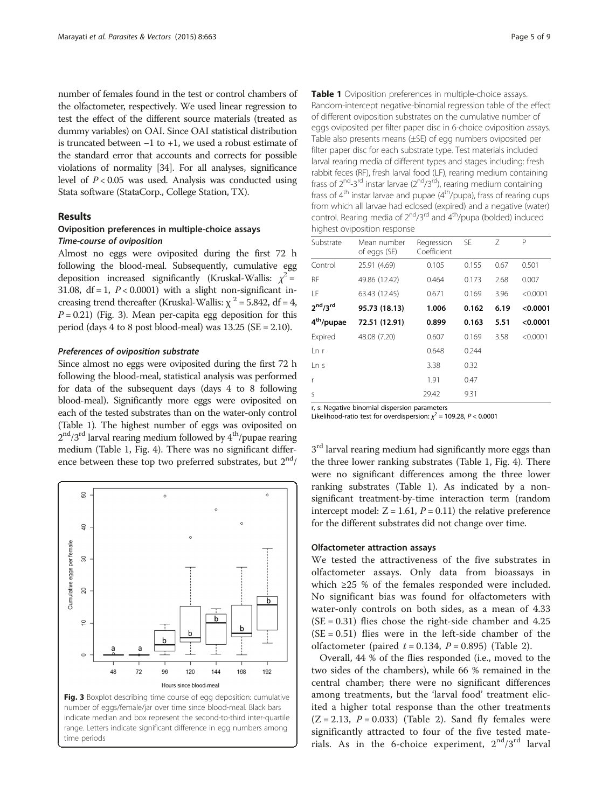<span id="page-4-0"></span>number of females found in the test or control chambers of the olfactometer, respectively. We used linear regression to test the effect of the different source materials (treated as dummy variables) on OAI. Since OAI statistical distribution is truncated between −1 to +1, we used a robust estimate of the standard error that accounts and corrects for possible violations of normality [\[34\]](#page-7-0). For all analyses, significance level of  $P < 0.05$  was used. Analysis was conducted using Stata software (StataCorp., College Station, TX).

### Results

# Oviposition preferences in multiple-choice assays Time-course of oviposition

Almost no eggs were oviposited during the first 72 h following the blood-meal. Subsequently, cumulative egg deposition increased significantly (Kruskal-Wallis:  $\chi^2$  = 31.08,  $df = 1$ ,  $P < 0.0001$ ) with a slight non-significant increasing trend thereafter (Kruskal-Wallis:  $\chi^2$  = 5.842, df = 4,  $P = 0.21$ ) (Fig. 3). Mean per-capita egg deposition for this period (days  $4$  to  $8$  post blood-meal) was  $13.25$  (SE = 2.10).

#### Preferences of oviposition substrate

Since almost no eggs were oviposited during the first 72 h following the blood-meal, statistical analysis was performed for data of the subsequent days (days 4 to 8 following blood-meal). Significantly more eggs were oviposited on each of the tested substrates than on the water-only control (Table 1). The highest number of eggs was oviposited on  $2<sup>nd</sup>/3<sup>rd</sup>$  larval rearing medium followed by  $4<sup>th</sup>/p$ upae rearing medium (Table 1, Fig. [4](#page-5-0)). There was no significant difference between these top two preferred substrates, but  $2<sup>nd</sup>/$ 



Fig. 3 Boxplot describing time course of egg deposition: cumulative number of eggs/female/jar over time since blood-meal. Black bars indicate median and box represent the second-to-third inter-quartile range. Letters indicate significant difference in egg numbers among time periods

| <b>Table 1</b> Oviposition preferences in multiple-choice assays.                                     |
|-------------------------------------------------------------------------------------------------------|
| Random-intercept negative-binomial regression table of the effect                                     |
| of different oviposition substrates on the cumulative number of                                       |
| eggs oviposited per filter paper disc in 6-choice oviposition assays.                                 |
| Table also presents means (±SE) of egg numbers oviposited per                                         |
| filter paper disc for each substrate type. Test materials included                                    |
| larval rearing media of different types and stages including: fresh                                   |
| rabbit feces (RF), fresh larval food (LF), rearing medium containing                                  |
| frass of $2^{nd}$ -3 <sup>rd</sup> instar larvae ( $2^{nd}/3^{rd}$ ), rearing medium containing       |
| frass of 4 <sup>th</sup> instar larvae and pupae (4 <sup>th</sup> /pupa), frass of rearing cups       |
| from which all larvae had eclosed (expired) and a negative (water)                                    |
| control. Rearing media of 2 <sup>nd</sup> /3 <sup>rd</sup> and 4 <sup>th</sup> /pupa (bolded) induced |
| highest oviposition response                                                                          |

| Substrate                        | Mean number<br>of eggs (SE) | Regression<br>Coefficient | SF    | 7    | P        |
|----------------------------------|-----------------------------|---------------------------|-------|------|----------|
| Control                          | 25.91 (4.69)                | 0.105                     | 0.155 | 0.67 | 0.501    |
| RF                               | 49.86 (12.42)               | 0.464                     | 0.173 | 2.68 | 0.007    |
| T F                              | 63.43 (12.45)               | 0.671                     | 0.169 | 3.96 | < 0.0001 |
| 2 <sup>nd</sup> /3 <sup>rd</sup> | 95.73 (18.13)               | 1.006                     | 0.162 | 6.19 | < 0.0001 |
| 4 <sup>th</sup> /pupae           | 72.51 (12.91)               | 0.899                     | 0.163 | 5.51 | < 0.0001 |
| Expired                          | 48.08 (7.20)                | 0.607                     | 0.169 | 3.58 | < 0.0001 |
| l n r                            |                             | 0.648                     | 0.244 |      |          |
| ln s                             |                             | 3.38                      | 0.32  |      |          |
| r                                |                             | 1.91                      | 0.47  |      |          |
| $\varsigma$                      |                             | 29.42                     | 9.31  |      |          |

r, s: Negative binomial dispersion parameters

Likelihood-ratio test for overdispersion:  $\chi^2$  = 109.28, P < 0.0001

 $3<sup>rd</sup>$  larval rearing medium had significantly more eggs than the three lower ranking substrates (Table 1, Fig. [4](#page-5-0)). There were no significant differences among the three lower ranking substrates (Table 1). As indicated by a nonsignificant treatment-by-time interaction term (random intercept model:  $Z = 1.61$ ,  $P = 0.11$ ) the relative preference for the different substrates did not change over time.

#### Olfactometer attraction assays

We tested the attractiveness of the five substrates in olfactometer assays. Only data from bioassays in which ≥25 % of the females responded were included. No significant bias was found for olfactometers with water-only controls on both sides, as a mean of 4.33  $(SE = 0.31)$  flies chose the right-side chamber and 4.25  $(SE = 0.51)$  flies were in the left-side chamber of the olfactometer (paired  $t = 0.134$ ,  $P = 0.895$ ) (Table [2](#page-5-0)).

Overall, 44 % of the flies responded (i.e., moved to the two sides of the chambers), while 66 % remained in the central chamber; there were no significant differences among treatments, but the 'larval food' treatment elicited a higher total response than the other treatments  $(Z = 2.13, P = 0.033)$  (Table [2\)](#page-5-0). Sand fly females were significantly attracted to four of the five tested materials. As in the 6-choice experiment,  $2<sup>nd</sup>/3<sup>rd</sup>$  larval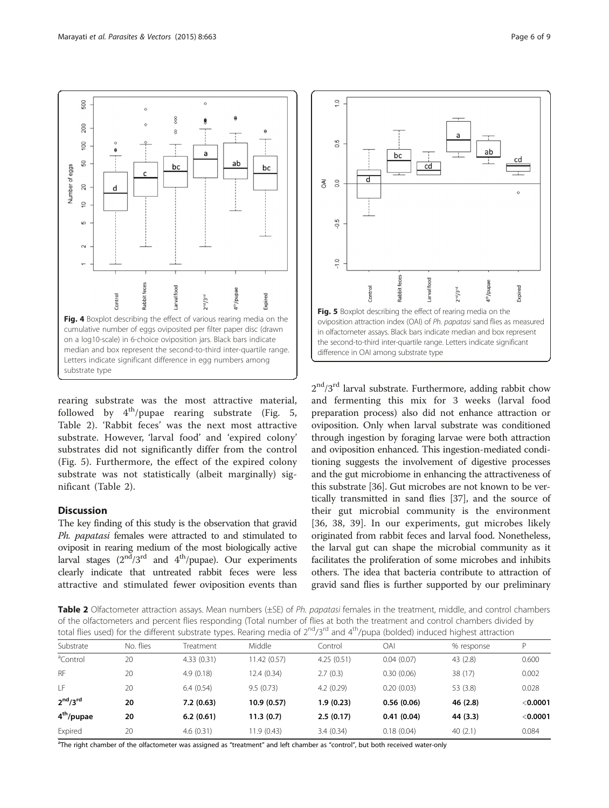<span id="page-5-0"></span>500  $\circ$ 8 200  $\alpha$  $\overline{8}$ a 50 ab bo Number of eggs bc 20  $\circ$ u. feces food th/pupae xpired Rabbit H<sub>EV</sub>IE  $2<sup>nd</sup>$   $2<sup>rd</sup>$ Fig. 4 Boxplot describing the effect of various rearing media on the cumulative number of eggs oviposited per filter paper disc (drawn on a log10-scale) in 6-choice oviposition jars. Black bars indicate median and box represent the second-to-third inter-quartile range. Letters indicate significant difference in egg numbers among substrate type

rearing substrate was the most attractive material, followed by  $4^{th}/p$ upae rearing substrate (Fig. 5, Table 2). 'Rabbit feces' was the next most attractive substrate. However, 'larval food' and 'expired colony' substrates did not significantly differ from the control (Fig. 5). Furthermore, the effect of the expired colony substrate was not statistically (albeit marginally) significant (Table 2).

# **Discussion**

The key finding of this study is the observation that gravid Ph. papatasi females were attracted to and stimulated to oviposit in rearing medium of the most biologically active larval stages  $(2<sup>nd</sup>/3<sup>rd</sup>$  and  $4<sup>th</sup>/pupae)$ . Our experiments clearly indicate that untreated rabbit feces were less attractive and stimulated fewer oviposition events than



 $2<sup>nd</sup>/3<sup>rd</sup>$  larval substrate. Furthermore, adding rabbit chow and fermenting this mix for 3 weeks (larval food preparation process) also did not enhance attraction or oviposition. Only when larval substrate was conditioned through ingestion by foraging larvae were both attraction and oviposition enhanced. This ingestion-mediated conditioning suggests the involvement of digestive processes and the gut microbiome in enhancing the attractiveness of this substrate [[36](#page-7-0)]. Gut microbes are not known to be vertically transmitted in sand flies [\[37\]](#page-7-0), and the source of their gut microbial community is the environment [[36, 38](#page-7-0), [39\]](#page-8-0). In our experiments, gut microbes likely originated from rabbit feces and larval food. Nonetheless, the larval gut can shape the microbial community as it facilitates the proliferation of some microbes and inhibits others. The idea that bacteria contribute to attraction of gravid sand flies is further supported by our preliminary

Table 2 Olfactometer attraction assays. Mean numbers (±SE) of Ph. papatasi females in the treatment, middle, and control chambers of the olfactometers and percent flies responding (Total number of flies at both the treatment and control chambers divided by total flies used) for the different substrate types. Rearing media of  $2^{nd}/3^{rd}$  and  $4^{th}/p$ upa (bolded) induced highest attraction

| $\sim$ . The second is the single-single second the single second of $\epsilon$ , $\epsilon$ and $\epsilon$<br>, papa (polaca) induced inquiest attibution |           |            |              |            |            |            |            |  |  |  |  |
|------------------------------------------------------------------------------------------------------------------------------------------------------------|-----------|------------|--------------|------------|------------|------------|------------|--|--|--|--|
| Substrate                                                                                                                                                  | No. flies | Treatment  | Middle       | Control    | OAI        | % response | D          |  |  |  |  |
| <sup>a</sup> Control                                                                                                                                       | 20        | 4.33(0.31) | 11.42 (0.57) | 4.25(0.51) | 0.04(0.07) | 43 (2.8)   | 0.600      |  |  |  |  |
| <b>RF</b>                                                                                                                                                  | 20        | 4.9(0.18)  | 12.4 (0.34)  | 2.7(0.3)   | 0.30(0.06) | 38 (17)    | 0.002      |  |  |  |  |
| LF                                                                                                                                                         | 20        | 6.4(0.54)  | 9.5(0.73)    | 4.2(0.29)  | 0.20(0.03) | 53 (3.8)   | 0.028      |  |  |  |  |
| 2 <sup>nd</sup> /3 <sup>rd</sup>                                                                                                                           | 20        | 7.2(0.63)  | 10.9 (0.57)  | 1.9(0.23)  | 0.56(0.06) | 46(2.8)    | $<$ 0.0001 |  |  |  |  |
| 4 <sup>th</sup> /pupae                                                                                                                                     | 20        | 6.2(0.61)  | 11.3(0.7)    | 2.5(0.17)  | 0.41(0.04) | 44 (3.3)   | $<$ 0.0001 |  |  |  |  |
| Expired                                                                                                                                                    | 20        | 4.6(0.31)  | 11.9(0.43)   | 3.4(0.34)  | 0.18(0.04) | 40(2.1)    | 0.084      |  |  |  |  |

<sup>a</sup>The right chamber of the olfactometer was assigned as "treatment" and left chamber as "control", but both received water-only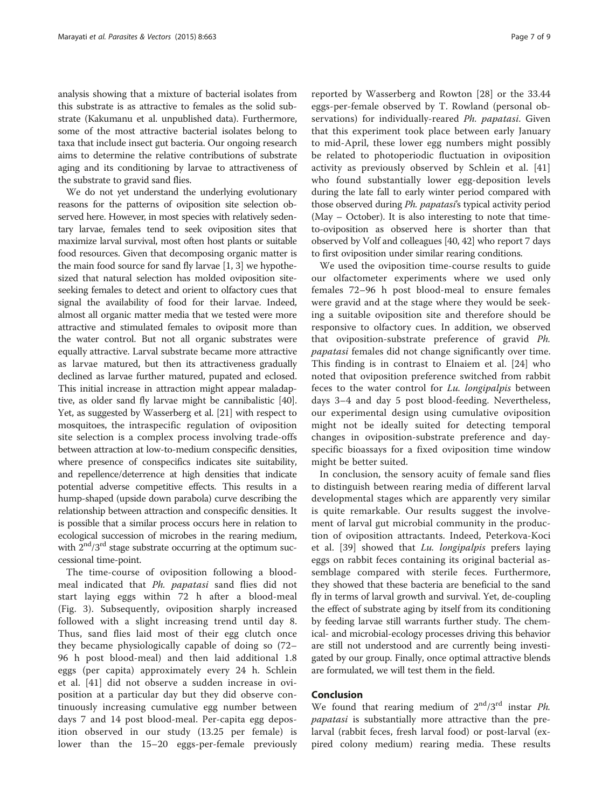analysis showing that a mixture of bacterial isolates from this substrate is as attractive to females as the solid substrate (Kakumanu et al. unpublished data). Furthermore, some of the most attractive bacterial isolates belong to taxa that include insect gut bacteria. Our ongoing research aims to determine the relative contributions of substrate aging and its conditioning by larvae to attractiveness of the substrate to gravid sand flies.

We do not yet understand the underlying evolutionary reasons for the patterns of oviposition site selection observed here. However, in most species with relatively sedentary larvae, females tend to seek oviposition sites that maximize larval survival, most often host plants or suitable food resources. Given that decomposing organic matter is the main food source for sand fly larvae [[1, 3](#page-7-0)] we hypothesized that natural selection has molded oviposition siteseeking females to detect and orient to olfactory cues that signal the availability of food for their larvae. Indeed, almost all organic matter media that we tested were more attractive and stimulated females to oviposit more than the water control. But not all organic substrates were equally attractive. Larval substrate became more attractive as larvae matured, but then its attractiveness gradually declined as larvae further matured, pupated and eclosed. This initial increase in attraction might appear maladaptive, as older sand fly larvae might be cannibalistic [[40](#page-8-0)]. Yet, as suggested by Wasserberg et al. [\[21\]](#page-7-0) with respect to mosquitoes, the intraspecific regulation of oviposition site selection is a complex process involving trade-offs between attraction at low-to-medium conspecific densities, where presence of conspecifics indicates site suitability, and repellence/deterrence at high densities that indicate potential adverse competitive effects. This results in a hump-shaped (upside down parabola) curve describing the relationship between attraction and conspecific densities. It is possible that a similar process occurs here in relation to ecological succession of microbes in the rearing medium, with  $2<sup>nd</sup>/3<sup>rd</sup>$  stage substrate occurring at the optimum successional time-point.

The time-course of oviposition following a bloodmeal indicated that Ph. papatasi sand flies did not start laying eggs within 72 h after a blood-meal (Fig. [3](#page-4-0)). Subsequently, oviposition sharply increased followed with a slight increasing trend until day 8. Thus, sand flies laid most of their egg clutch once they became physiologically capable of doing so (72– 96 h post blood-meal) and then laid additional 1.8 eggs (per capita) approximately every 24 h. Schlein et al. [[41\]](#page-8-0) did not observe a sudden increase in oviposition at a particular day but they did observe continuously increasing cumulative egg number between days 7 and 14 post blood-meal. Per-capita egg deposition observed in our study (13.25 per female) is lower than the 15–20 eggs-per-female previously

reported by Wasserberg and Rowton [\[28](#page-7-0)] or the 33.44 eggs-per-female observed by T. Rowland (personal observations) for individually-reared Ph. papatasi. Given that this experiment took place between early January to mid-April, these lower egg numbers might possibly be related to photoperiodic fluctuation in oviposition activity as previously observed by Schlein et al. [\[41](#page-8-0)] who found substantially lower egg-deposition levels during the late fall to early winter period compared with those observed during Ph. papatasi's typical activity period (May – October). It is also interesting to note that timeto-oviposition as observed here is shorter than that observed by Volf and colleagues [[40](#page-8-0), [42\]](#page-8-0) who report 7 days to first oviposition under similar rearing conditions.

We used the oviposition time-course results to guide our olfactometer experiments where we used only females 72–96 h post blood-meal to ensure females were gravid and at the stage where they would be seeking a suitable oviposition site and therefore should be responsive to olfactory cues. In addition, we observed that oviposition-substrate preference of gravid Ph. papatasi females did not change significantly over time. This finding is in contrast to Elnaiem et al. [\[24](#page-7-0)] who noted that oviposition preference switched from rabbit feces to the water control for Lu. longipalpis between days 3–4 and day 5 post blood-feeding. Nevertheless, our experimental design using cumulative oviposition might not be ideally suited for detecting temporal changes in oviposition-substrate preference and dayspecific bioassays for a fixed oviposition time window might be better suited.

In conclusion, the sensory acuity of female sand flies to distinguish between rearing media of different larval developmental stages which are apparently very similar is quite remarkable. Our results suggest the involvement of larval gut microbial community in the production of oviposition attractants. Indeed, Peterkova-Koci et al.  $[39]$  $[39]$  showed that Lu. longipalpis prefers laying eggs on rabbit feces containing its original bacterial assemblage compared with sterile feces. Furthermore, they showed that these bacteria are beneficial to the sand fly in terms of larval growth and survival. Yet, de-coupling the effect of substrate aging by itself from its conditioning by feeding larvae still warrants further study. The chemical- and microbial-ecology processes driving this behavior are still not understood and are currently being investigated by our group. Finally, once optimal attractive blends are formulated, we will test them in the field.

# Conclusion

We found that rearing medium of  $2<sup>nd</sup>/3<sup>rd</sup>$  instar *Ph*. papatasi is substantially more attractive than the prelarval (rabbit feces, fresh larval food) or post-larval (expired colony medium) rearing media. These results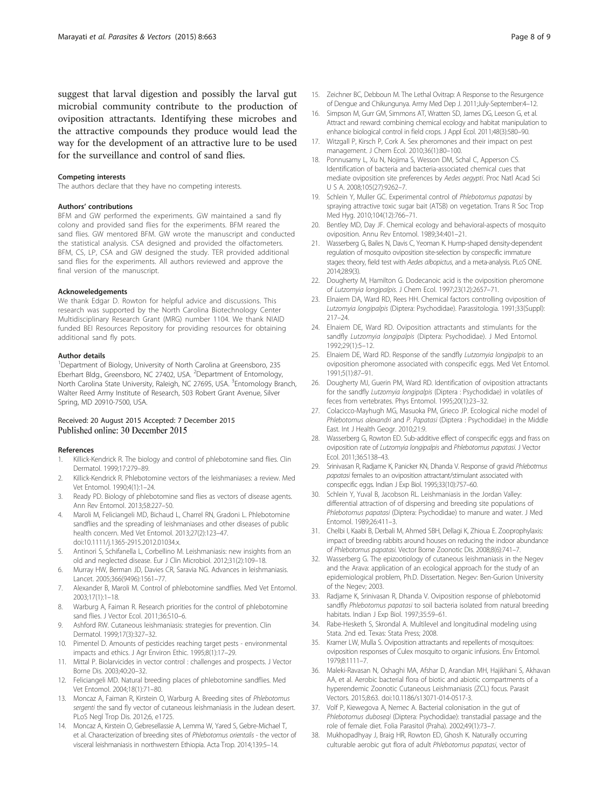<span id="page-7-0"></span>suggest that larval digestion and possibly the larval gut microbial community contribute to the production of oviposition attractants. Identifying these microbes and the attractive compounds they produce would lead the way for the development of an attractive lure to be used for the surveillance and control of sand flies.

#### Competing interests

The authors declare that they have no competing interests.

#### Authors' contributions

BFM and GW performed the experiments. GW maintained a sand fly colony and provided sand flies for the experiments. BFM reared the sand flies. GW mentored BFM. GW wrote the manuscript and conducted the statistical analysis. CSA designed and provided the olfactometers. BFM, CS, LP, CSA and GW designed the study. TER provided additional sand flies for the experiments. All authors reviewed and approve the final version of the manuscript.

#### Acknoweledgements

We thank Edgar D. Rowton for helpful advice and discussions. This research was supported by the North Carolina Biotechnology Center Multidisciplinary Research Grant (MRG) number 1104. We thank NIAID funded BEI Resources Repository for providing resources for obtaining additional sand fly pots.

#### Author details

<sup>1</sup>Department of Biology, University of North Carolina at Greensboro, 235 Eberhart Bldg., Greensboro, NC 27402, USA. <sup>2</sup>Department of Entomology, North Carolina State University, Raleigh, NC 27695, USA. <sup>3</sup>Entomology Branch, Walter Reed Army Institute of Research, 503 Robert Grant Avenue, Silver Spring, MD 20910-7500, USA.

#### Received: 20 August 2015 Accepted: 7 December 2015 Published online: 30 December 2015

#### References

- 1. Killick-Kendrick R. The biology and control of phlebotomine sand flies. Clin Dermatol. 1999;17:279–89.
- 2. Killick-Kendrick R. Phlebotomine vectors of the leishmaniases: a review. Med Vet Entomol. 1990;4(1):1–24.
- 3. Ready PD. Biology of phlebotomine sand flies as vectors of disease agents. Ann Rev Entomol. 2013;58:227–50.
- 4. Maroli M, Feliciangeli MD, Bichaud L, Charrel RN, Gradoni L. Phlebotomine sandflies and the spreading of leishmaniases and other diseases of public health concern. Med Vet Entomol. 2013;27(2):123–47. doi[:10.1111/j.1365-2915.2012.01034.x](http://dx.doi.org/10.1111/j.1365-2915.2012.01034.x).
- 5. Antinori S, Schifanella L, Corbellino M. Leishmaniasis: new insights from an old and neglected disease. Eur J Clin Microbiol. 2012;31(2):109–18.
- 6. Murray HW, Berman JD, Davies CR, Saravia NG. Advances in leishmaniasis. Lancet. 2005;366(9496):1561–77.
- 7. Alexander B, Maroli M. Control of phlebotomine sandflies. Med Vet Entomol. 2003;17(1):1–18.
- 8. Warburg A, Faiman R. Research priorities for the control of phlebotomine sand flies. J Vector Ecol. 2011;36:S10-6.
- 9. Ashford RW. Cutaneous leishmaniasis: strategies for prevention. Clin Dermatol. 1999;17(3):327–32.
- 10. Pimentel D. Amounts of pesticides reaching target pests environmental impacts and ethics. J Agr Environ Ethic. 1995;8(1):17–29.
- 11. Mittal P. Biolarvicides in vector control : challenges and prospects. J Vector Borne Dis. 2003;40:20–32.
- 12. Feliciangeli MD. Natural breeding places of phlebotomine sandflies. Med Vet Entomol. 2004;18(1):71–80.
- 13. Moncaz A, Faiman R, Kirstein O, Warburg A. Breeding sites of Phlebotomus sergenti the sand fly vector of cutaneous leishmaniasis in the Judean desert. PLoS Negl Trop Dis. 2012;6, e1725.
- 14. Moncaz A, Kirstein O, Gebresellassie A, Lemma W, Yared S, Gebre-Michael T, et al. Characterization of breeding sites of Phlebotomus orientalis - the vector of visceral leishmaniasis in northwestern Ethiopia. Acta Trop. 2014;139:5–14.
- 15. Zeichner BC, Debboun M. The Lethal Ovitrap: A Response to the Resurgence of Dengue and Chikungunya. Army Med Dep J. 2011;July-September:4–12.
- 16. Simpson M, Gurr GM, Simmons AT, Wratten SD, James DG, Leeson G, et al. Attract and reward: combining chemical ecology and habitat manipulation to enhance biological control in field crops. J Appl Ecol. 2011;48(3):580–90.
- 17. Witzgall P, Kirsch P, Cork A. Sex pheromones and their impact on pest management. J Chem Ecol. 2010;36(1):80–100.
- 18. Ponnusamy L, Xu N, Nojima S, Wesson DM, Schal C, Apperson CS. Identification of bacteria and bacteria-associated chemical cues that mediate oviposition site preferences by Aedes aegypti. Proc Natl Acad Sci U S A. 2008;105(27):9262–7.
- 19. Schlein Y, Muller GC. Experimental control of Phlebotomus papatasi by spraying attractive toxic sugar bait (ATSB) on vegetation. Trans R Soc Trop Med Hyg. 2010;104(12):766–71.
- 20. Bentley MD, Day JF. Chemical ecology and behavioral-aspects of mosquito oviposition. Annu Rev Entomol. 1989;34:401–21.
- 21. Wasserberg G, Bailes N, Davis C, Yeoman K. Hump-shaped density-dependent regulation of mosquito oviposition site-selection by conspecific immature stages: theory, field test with Aedes albopictus, and a meta-analysis. PLoS ONE. 2014;28:9(3).
- 22. Dougherty M, Hamilton G, Dodecanoic acid is the oviposition pheromone of Lutzomyia longipalpis. J Chem Ecol. 1997;23(12):2657–71.
- 23. Elnaiem DA, Ward RD, Rees HH. Chemical factors controlling oviposition of Lutzomyia longipalpis (Diptera: Psychodidae). Parassitologia. 1991;33(Suppl): 217–24.
- 24. Elnaiem DE, Ward RD. Oviposition attractants and stimulants for the sandfly Lutzomyia longipalpis (Diptera: Psychodidae). J Med Entomol. 1992;29(1):5–12.
- 25. Elnaiem DE, Ward RD. Response of the sandfly Lutzomyia longipalpis to an oviposition pheromone associated with conspecific eggs. Med Vet Entomol. 1991;5(1):87–91.
- 26. Dougherty MJ, Guerin PM, Ward RD. Identification of oviposition attractants for the sandfly Lutzomyia longipalpis (Diptera : Psychodidae) in volatiles of feces from vertebrates. Phys Entomol. 1995;20(1):23–32.
- 27. Colacicco-Mayhugh MG, Masuoka PM, Grieco JP. Ecological niche model of Phlebotomus alexandri and P. Papatasi (Diptera : Psychodidae) in the Middle East. Int J Health Geogr. 2010;21:9.
- 28. Wasserberg G, Rowton ED. Sub-additive effect of conspecific eggs and frass on oviposition rate of Lutzomyia longipalpis and Phlebotomus papatasi. J Vector Ecol. 2011;36:S138–43.
- 29. Srinivasan R, Radjame K, Panicker KN, Dhanda V. Response of gravid Phlebotmus papatasi females to an oviposition attractant/stimulant associated with conspecific eggs. Indian J Exp Biol. 1995;33(10):757–60.
- 30. Schlein Y, Yuval B, Jacobson RL. Leishmaniasis in the Jordan Valley: differential attraction of of dispersing and breeding site populations of Phlebotomus papatasi (Diptera: Psychodidae) to manure and water. J Med Entomol. 1989;26:411–3.
- 31. Chelbi I, Kaabi B, Derbali M, Ahmed SBH, Dellagi K, Zhioua E. Zooprophylaxis: impact of breeding rabbits around houses on reducing the indoor abundance of Phlebotomus papatasi. Vector Borne Zoonotic Dis. 2008;8(6):741–7.
- 32. Wasserberg G. The epizootiology of cutaneous leishmaniasis in the Negev and the Arava: application of an ecological approach for the study of an epidemiological problem, Ph.D. Dissertation. Negev: Ben-Gurion University of the Negev; 2003.
- 33. Radjame K, Srinivasan R, Dhanda V. Oviposition response of phlebotomid sandfly Phlebotomus papatasi to soil bacteria isolated from natural breeding habitats. Indian J Exp Biol. 1997;35:59–61.
- 34. Rabe-Hesketh S, Skrondal A. Multilevel and longitudinal modeling using Stata. 2nd ed. Texas: Stata Press; 2008.
- 35. Kramer LW, Mulla S. Oviposition attractants and repellents of mosquitoes: oviposition responses of Culex mosquito to organic infusions. Env Entomol. 1979;8:1111–7.
- 36. Maleki-Ravasan N, Oshaghi MA, Afshar D, Arandian MH, Hajikhani S, Akhavan AA, et al. Aerobic bacterial flora of biotic and abiotic compartments of a hyperendemic Zoonotic Cutaneous Leishmaniasis (ZCL) focus. Parasit Vectors. 2015;8:63. doi:[10.1186/s13071-014-0517-3.](http://dx.doi.org/10.1186/s13071-014-0517-3)
- 37. Volf P, Kiewegova A, Nemec A. Bacterial colonisation in the gut of Phlebotomus duboseqi (Diptera: Psychodidae): transtadial passage and the role of female diet. Folia Parasitol (Praha). 2002;49(1):73–7.
- 38. Mukhopadhyay J, Braig HR, Rowton ED, Ghosh K. Naturally occurring culturable aerobic gut flora of adult Phlebotomus papatasi, vector of